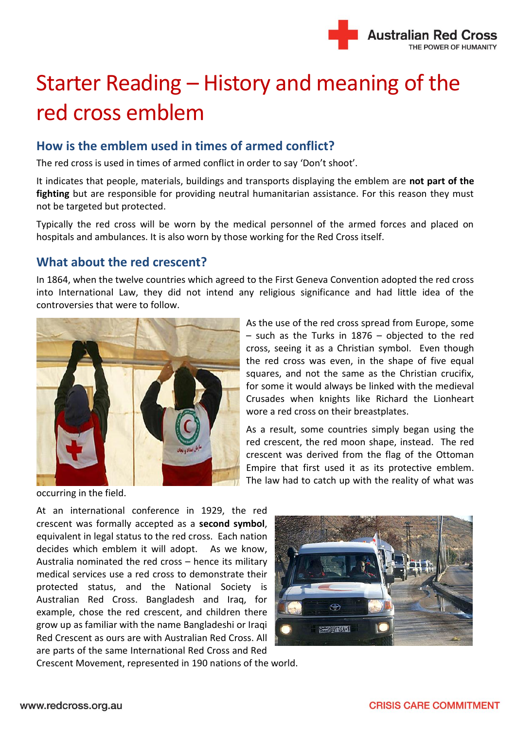

# Starter Reading – History and meaning of the red cross emblem

# **How is the emblem used in times of armed conflict?**

The red cross is used in times of armed conflict in order to say 'Don't shoot'.

It indicates that people, materials, buildings and transports displaying the emblem are **not part of the fighting** but are responsible for providing neutral humanitarian assistance. For this reason they must not be targeted but protected.

Typically the red cross will be worn by the medical personnel of the armed forces and placed on hospitals and ambulances. It is also worn by those working for the Red Cross itself.

## **What about the red crescent?**

In 1864, when the twelve countries which agreed to the First Geneva Convention adopted the red cross into International Law, they did not intend any religious significance and had little idea of the controversies that were to follow.



occurring in the field.

At an international conference in 1929, the red crescent was formally accepted as a **second symbol**, equivalent in legal status to the red cross. Each nation decides which emblem it will adopt. As we know, Australia nominated the red cross – hence its military medical services use a red cross to demonstrate their protected status, and the National Society is Australian Red Cross. Bangladesh and Iraq, for example, chose the red crescent, and children there grow up as familiar with the name Bangladeshi or Iraqi Red Crescent as ours are with Australian Red Cross. All are parts of the same International Red Cross and Red

 $\oplus$ **SECOND LAND** 

Crescent Movement, represented in 190 nations of the world.